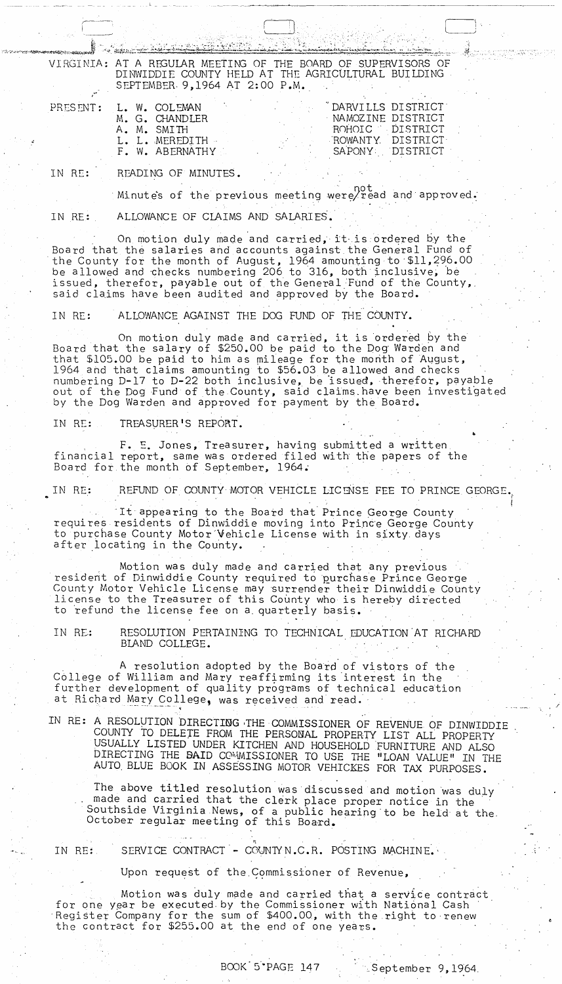VIRGINIA: AT A REGULAR MEETING OF THE BOARD OF SUPERVISORS OF DINWIDDIE COUNTY HELD AT THE AGRICULTURAL BUILDING SEPTEMBER. 9 J 1964 AT 2: 00 P.M.

- PRESENT: L. W. COLEMAN
	- M. G. CHANDLER A. M. SMITH L. L. MEREDITH F. W. ABERNATHY

|                | DARVILLS DISTRICT |
|----------------|-------------------|
|                | NAMOZINE DISTRICT |
| ROHOTC T       | <b>DISTRICT</b>   |
| ROWANTY.       | <b>DISTRICT</b>   |
| <b>SAPONY:</b> | DISTRICT          |
|                |                   |

(. 1 D'

IN RE: READING OF MINUTES.

المخاصين بهما

not .<br>'. Minute's of the previous meeting were/read and approved.

IN RE: ALLOWANCE OF CLAIMS AND SALARIES'.

On motion duly made and carried, it is ordered by the Board that the salaries and accounts against the General Fund of the County for the month of August, 1964 amounting to \$11,296.00 be allowed and checks numbering 206 to 316, both inclusive, be issued, therefor, payable out of the General Fund of the County,. said claims have been audited and approved by the Board.

IN RE: ALLOWANCE AGAINST THE DOG FUND OF THE COUNTY.

On motion duly made and carried, it is ordered by the Board that the salary of \$250.00 be paid to the pog Warden and that \$105.00 be paid to him as mileage for the month of August, 1964 and that claims amounting to \$56.03 be allowed and checks numbering D-17 to D-22 both inclusive, be issued, therefor, payable out of the Dog Fund of the County, said claims. have been investigated by the Dog Warden and approved for payment by the Board.

IN RE: TREASURER'S REPORT.

F. E. Jones, Treasurer, having submitted a written financial report, same was ordered filed with the papers of the Board for the month of September, 1964.

IN RE: AREFUND OF COUNTY MOTOR VEHICLE LICENSE FEE TO PRINCE GEORGE.

It appearing to the Board that Prince George County requires residents of Dinwiddie moving into Princ'e George County to purchase County Motor'Vehicle License with in sixty days after locating in the County.

Motion was duly made and carried that any previous resident of Dinwiddie County required to purchase Prince George County Motor Vehicle License may surrender their Dinwiddie County dicense to the Treasurer of this County who is hereby directed to refund the license fee on a quarterly basis.

IN RE: RESOLUTION PERTAINING TO TECHNICAL EDUCATION AT RICHARD BLAND COLLEGE. .

A resolution adopted by the Board of vistors of the C611ege of William and Mary reaffirming its 'interest in the further development of quality programs of technical education at Richard Mary College, was received and read.

IN RE: A RESOLUTION DIRECTING THE COMMISSIONER OF REVENUE OF DINWIDDIE COUNTY TO DELEJE FROM THE PERSONAL PROPERTY LIST ALL PROPERTY USUALLY LISTED UNDER KITCHEN AND HOUSEHOLD FURNITURE AND ALSO DIRECTING THE BAID COMMISSIONER TO USE THE "LOAN VALUE" IN THE USUALLY LISTED UNDER KITCHEN AND HOUSEHOLD FURNITURE AND ALS<br>DIRECTING THE **BAID** COMMISSIONER TO USE THE "LOAN VALUE" IN T<br>AUTO BLUE BOOK IN ASSESSING MOTOR VEHICKES FOR TAX PURPOSES.<br>The above titled resolution was discu

The above titled resolution was discussed and motion was duly made and carried that the clerk place proper notice in the Southside Virginia News, of a public hearing to be held at the October regular meeting of this Board.

 $\mathbf{R}$  . The set of the set of the set of the set of the set of the set of the set of the set of the set of the set of the set of the set of the set of the set of the set of the set of the set of the set of the set of t IN RE: SERVICE CONTRACT - COUNTYN.C.R. POSTING MACHINE.

Upon request of the Commissioner of Revenue,

Motion was duly made and carried that a service contract for one year be executed by the Commissioner with National Cash Register Company for the sum of \$400.00, with the right to renew the contract for \$255.00 at the end of one years.

I

./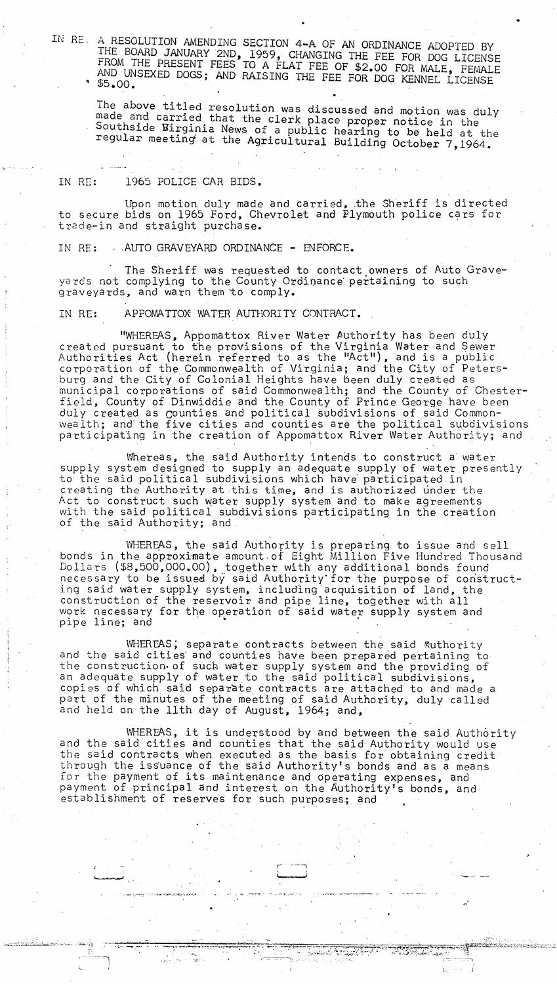IN RE.. A RESOLUTION AMENDING SECTION 4-A OF AN ORDINANCE ADOPTED BY IHE BOARD JANUARY 2ND, 1959, CHANGING THE FEE FOR DOG LICENSE FROM THE PRESENT FEES TO A FLAT FEE OF \$2.00 FOR MALE, FEMALE AND UNSEXED DOGS; AND RAISING THE FEE FOR DOG KENNEL LICENSE \$5.00.

The above titled resolution was discussed and motion was duly made and carried that the clerk place proper notice in the Southside Birginia News of a public hearing to be held at the regular meeting at the Agricultural Building October 7,1964.

IN RE: 1965 POLICE CAR BIDS.

Upon motion duly made and carried, .the Sheriff is directed to secure bids on 1965 Ford, Chevrolet and Plymouth police cars for trade-in and straight purchase.

IN RE: . AUTO GRAVEYARD ORDINANCE - ENFORCE.

The Sheriff was requested to contact owners of Auto Graveyards not complying to the County Ordinance pertaining to such graveyards, and warn them to comply.

IN RE: APPOMATTOX WATER AUTHORITY CONTRACT.

"WHEREAS, Appomattox River Water Authority has been duly created pursuant to the provisions of the Virginia Water and \$ewer Authorities Act (herein referred to as the "Act"), and is a public corporation of the Commonwealth of Virginia; and the City of Petersburg and the City of Colonial Heights have been duly created as municipal corporations of said Commonwealth; and the County of Chesterfield, County of Dinwiddie and the County of Prince George have been duly created as counties and political subdivisions of said Commonwealth; and' the five cities and counties are the political subdivisions participating in the creation of Appomattox River Water Authority; and

Whereas, the said Authority intends to construct a water supply system designed to supply an adequate supply of water presently to the said political subdivisions which have participated in creating the Authority at this time, and is authorized under the Act to construct such water supply system and to make agreements with the said political subdivisions participating in the creation of the said Authority; and

WHEREAS, the said Authority is preparing to issue and sell bonds in the approximate amount.of Eight Million Five Hundred Thousand Dollars (\$8,500,000.00), together with any additional bonds found necessary to be issued by said Authority for the purpose of constructing said water supply system, including acquisition of land, the ing said water supply system, including acquisition of land, the<br>construction of the reservoir and pipe line, together with all<br>work necessary for the operation of said water supply system ar<br>pipe line; and work necessary for the operation of said water supply system and<br>pipe line; and

WHEREAS; separate contracts between the said Authority and the said cities and counties have been prepared pertaining to the construction of such water supply system and the providing of an adequate supply of water to the said political subdivisions, copies of which said separate contracts are attached to and made a part of the minutes of the meeting of said Authority, duly called and held on the 11th day of August, 1964; and,

WHEREAS, it is understood by and between the said Authority and the said cities and counties that the said Authority would use the said contracts when executed as the basis for obtaining credit through the issuance of the said Authority's bonds and as a means for the payment of its maintenance and operating expenses, and payment of principal and interest on the Authority's bonds, and establishment of reserves for such purposes; and

> *r-* "~'1 (<del>'usu-penumi</del>

':." -...... ~-,"' ... ~. . ..". ..... ~:.:.-'!'" .... , .~~""" ::::'. --:::--..;;:;:;0. ·.... ==~~=~:~0=::s~:.:;r:".~~~:r;':".~~~f;:,~;::;?~l@'''''';~~~~.);:i<.,;:;:;;""'~~c:;,,:~.:".;: \.~ r---=----::--::--i'·-,; ---~

 $x \rightarrow \infty$ ;:-" . ..~ .. -,-' ~ .~

""--1

ب<br>ا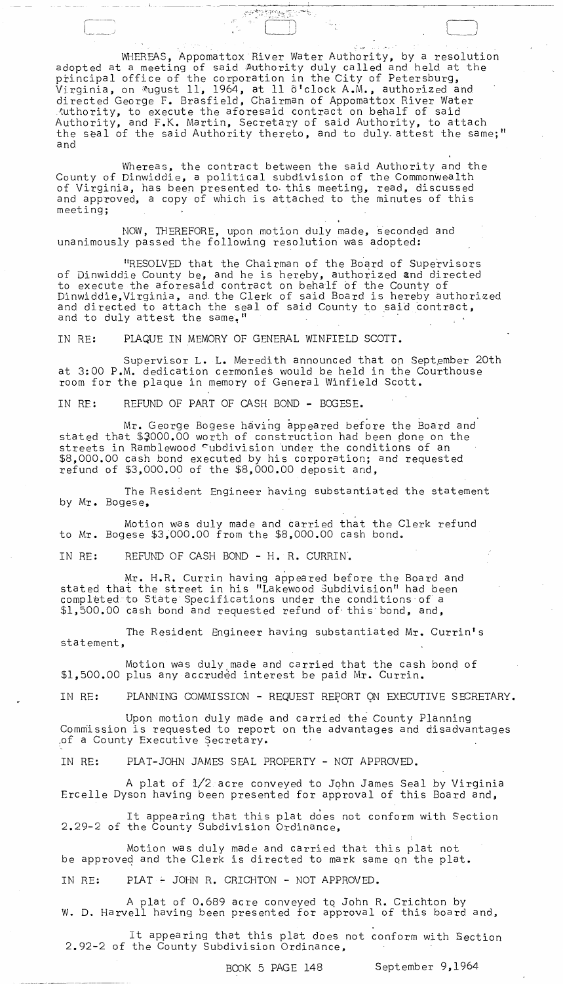WHEREAS, Appomattox River Water Authority, by a resolution adopted at a meeting of said Authority duly called and held at the principal office of the corporation in the City of Petersburg, Virginia, on August 11, 1964, at 11  $\delta$ 'clock A.M., authorized and directed George F. Brasfield, Chairman of Appomattox River Water tuthority, to execute the aforesaid contract on behalf of said Authority, and F.K. Martin, Secretary of said Authority, to attach the seal of the said Authority thereto, and to duly attest the same;" and

**CONSECTION** 

Whereas, the contract between the said Authority and the County of Dinwiddie, a political subdivision of the Commonwealth of Virginia, has been presented to· this meeting, read, discussed and approved, a copy of which is attached to the minutes of this meeting;

NOW, THEREFORE, upon motion duly made, seconded and unanimously passed the following resolution was adopted:

"RESOLVED that the Chairman of the Board of Supervisors of Dinwiddie County be, and he is hereby, authorized and directed to execute the aforesaid contract on behalf bf the County of Dinwiddie,Virginia, and. the Clerk of said Board is hereby authorized and directed to attach the seal of said County to said contract, and to duly attest the same."

IN RE: PLAQUE IN MEMORY OF GENERAL WINFIELD SCOTT.

 $\_$  L  $\pm$  L  $\_$ 

Supervisor L. L. Meredith announced that on September 20th at 3:00 P.M. dedication cermonies would be held in the Courthouse room for the plaque in memory of General Winfield Scott.

IN RF: REFUND OF PART OF CASH BOND - BOGESE.

Mr. George Bogese having appeared before the Board and stated that \$3000.00 worth of construction had been done on the streets in Ramblewood cubdivision under the conditions of an \$8,000.00 cash bond executed by his corporation; and requested refund of \$3,000.00 of the \$8,000.00 deposit and,

The Resident Engineer having substantiated the statement by Mr. Bogese,

Motion was duly made and carried that the Clerk refund to Mr. Bogese \$3,000.00 from the \$8,000.00 cash bond.

IN RE: REFUND OF CASH BOND - H. R. CURRIN'.

Mr. H.R. Currin having appeared before the Board and stated that the street in his "Lakewood Subdivision" had been completed to State Specifications under the conditions of a \$1,500.00 cash bond and requested refund of- this bond, and,

The Resident Engineer having substantiated Mr. Currin's statement,

Motion was duly made and carried that the cash bond of \$1,500.00 plus any accruded interest be paid Mr. Currin.

IN RE: PLANNING COMMISSION - REQUEST REPORT ON EXECUTIVE SECRETARY.

Upon motion duly made and carried the County Planning CommIssion is requested to report on the advantages and disadvantages of a County Executive Secretary.

IN RE: PLAT-JOHN JAMES SEAL PROPERTY - NOT APPROVED.

A plat of 1/2 acre conveyed to John James Seal by Virginia Ercelle Dyson having been presented for approval of this Board and,

It appearing that this plat does not conform with Section 2.29-2 of the County Subdivision Ordinance,

Motion was duly made and carried that this plat not be approveq and the Clerk is directed to mark same on the plat.

IN RE: PLAT + JOHN R. CRICHTON - NOT APPROVED.

A plat of 0.689 acre conveyed tq John R. Crichton by W. D. Harvell having been presented for approval of this board and,

It appearing that this plat does not conform with Section 2.92-2 of the County Subdivision Ordinance,

BOOK 5 PAGE 148 September 9,1964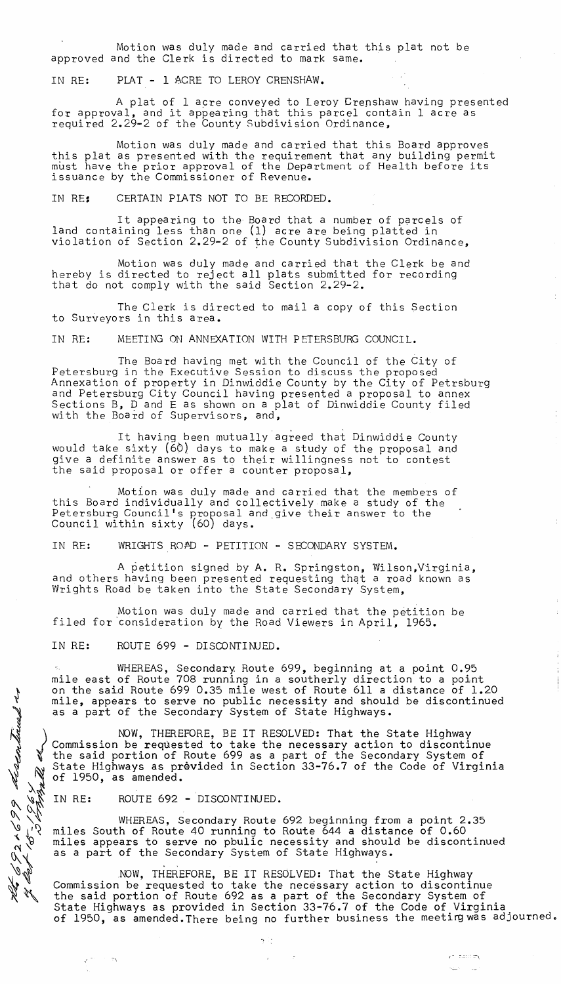Motion was duly made and carried that this plat not be approved and the Clerk is directed to mark same.

IN RE: PLAT - 1 ACRE TO LEROY CRENSHAW.

A plat of 1 acre conveyed to Leroy Crenshaw having presented for approval, and it appearing that this parcel contain 1 acre as required 2.29-2 of the County Subdivision Ordinance,

Motion was duly made and carried that this Board approves this plat as presented with the requirement that any building permit must have the prior approval of the Department of Health before its issuance by the Commissioner of Revenue.

IN RE: CERTAIN PLATS NOT TO BE RECORDED.

It appearing to the Board that a number of parcels of land containing less than one (1) acre are being platted in violation of Section 2.29-2 of the County Subdivision Ordinance,

Motion was duly made and carried that the Clerk be and hereby is directed to reject all plats submitted for recording that do not comply with the said Section 2.29-2.

The Clerk is directed to mail a copy of this Section to Surveyors in this area.

IN RE: MEETING ON ANNEXATION WITH PETERSBURG COUNCIL.

The Board having met with the Council of the City of Petersburg in the Executive Session to discuss the proposed Annexation of property in Dinwiddie County by the City of Petrsburg and Petersburg City Council having presented a proposal to annex Sections B, D and E as shown on a plat of Dinwiddie County filed with the Board of Supervisors, and,

It having been mutually agreed that Dinwiddie County would take sixty (60) days to make a study of the proposal and give a definite answer as to their willingness not to contest the said proposal or offer a counter proposal,

Motion was duly made and carried that the members of this Board individually and collectively make a study of the Petersburg Council's proposal and give their answer to the Council within sixty (60) days.

IN RE: WRIGHTS ROAD - PETITION - SECONDARY SYSTEM.

A petition signed by A. R. Springston, Wilson, Virginia, and others having been presented requesting that a road known as Wrights Road be taken into the State Secondary System,

Motion was duly made and carried that the petition be filed for consideration by the Road Viewers in April, 1965.

IN RE: ROUTE 699 - DISCONTINUED.

WHEREAS, Secondary. Route 699, beginning at a point 0.95 mile east of Route 708 running in a southerly direction to a point on the said Route 699 0.35 mile west of Route 611 a distance of 1.20 mile, appears to serve no public necessity and should be discontinued as a part of the Secondary System of State Highways.

NOW, THEREFORE, BE IT RESOLVED: That the State Highway Commission be requested to take the necessary action to discontinue  $\mathfrak f$  the said portion of Route 699 as a part of the Secondary System of State Highways as provided in Section 33-76.7 of the Code of Virginia of 1950, as amended.

WHERE: ROUTE 692 - DISCONTINUED.

**.**<br>په

 $4.4$  $\sim$   $\sim$ 

 $^{7}$   $\mathcal{A}_n$ 

WHEREAS, Secondary Route 692 beginning from a point 2.35 miles South of Route 40 running to Route 644 a distance of 0.60 miles appears to serve no pbulic necessity and should be discontinued as a part of the Secondary System of State Highways.

 $\gamma$  .

 $^{46}$  of NOW, THEREFORE, BE IT RESOLVED: That the State Highway Commission be requested to take the necessary action to discontinue the said portion of Route 692 as a part of the Secondary System of State Highways as provided in Section 33-76.7 of the Code of Virginia of 1950, as amended. There being no further business the meeting was adjourned.

 $r^*$  -noidery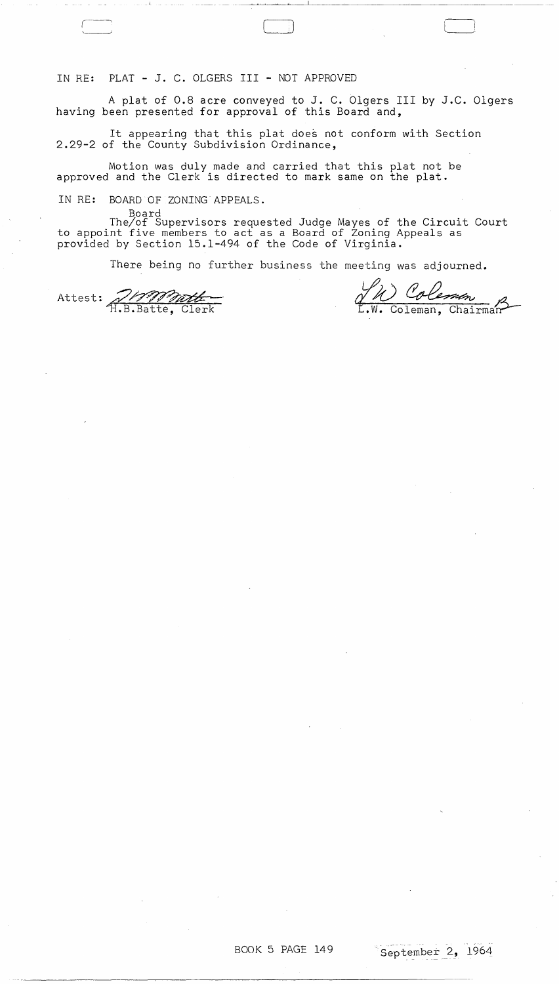IN RE: PLAT - J. C. OLGERS III - NOT APPROVED

A plat of 0.8 acre conveyed to J. C. Olgers III by J.C. Olgers having been presented for approval of this Board and,

LJ

.. \_~\_.\_.- ~~~~~--'------------------.----~-.--~

It appearing that this plat does not conform with Section 2.29-2 of the County Subdivision Ordinance,

Motion was duly made and carried that this plat not be approved and the Clerk is directed to mark same on the plat.

IN RE: BOARD OF ZONING APPEALS.

Board The/of Supervisors requested Judge Mayes of the Circuit Court to appoint five members to act as a Board of Zoning Appeals as prov $\mathrm{i}\mathrm{d}$ ed by Section 15.1–494 of the Code of Virgin $\mathrm{i}\mathrm{a}.^{\dag}$ 

There being no further business the meeting was adjourned.

Attest: 7/19000000

<u>JN Coleman</u> .W. Coleman, Chairman

 $\mathcal{F}^{\text{max}}_{\text{max}}$ 

 $\hat{\mathcal{A}}$